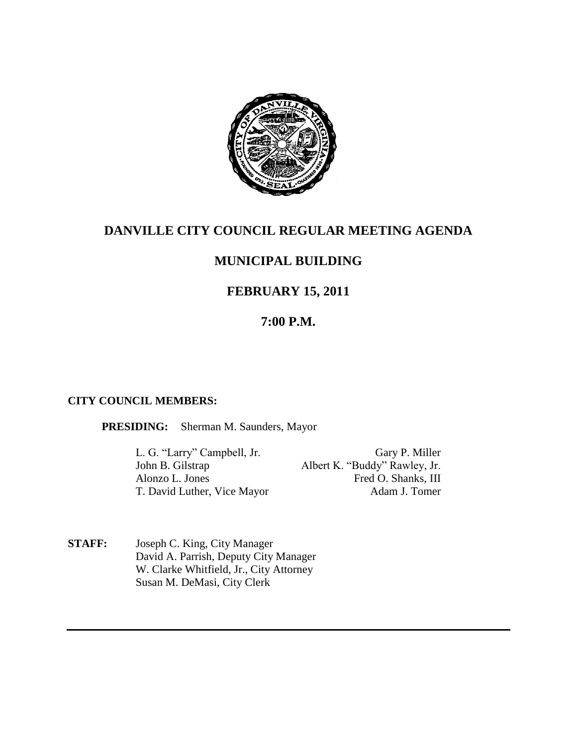

# **DANVILLE CITY COUNCIL REGULAR MEETING AGENDA**

# **MUNICIPAL BUILDING**

# **FEBRUARY 15, 2011**

## **7:00 P.M.**

### **CITY COUNCIL MEMBERS:**

### **PRESIDING:** Sherman M. Saunders, Mayor

L. G. "Larry" Campbell, Jr. Gary P. Miller Albert K. "Buddy" Rawley, Jr. Alonzo L. Jones Fred O. Shanks, III T. David Luther, Vice Mayor Adam J. Tomer

**STAFF:** Joseph C. King, City Manager David A. Parrish, Deputy City Manager W. Clarke Whitfield, Jr., City Attorney Susan M. DeMasi, City Clerk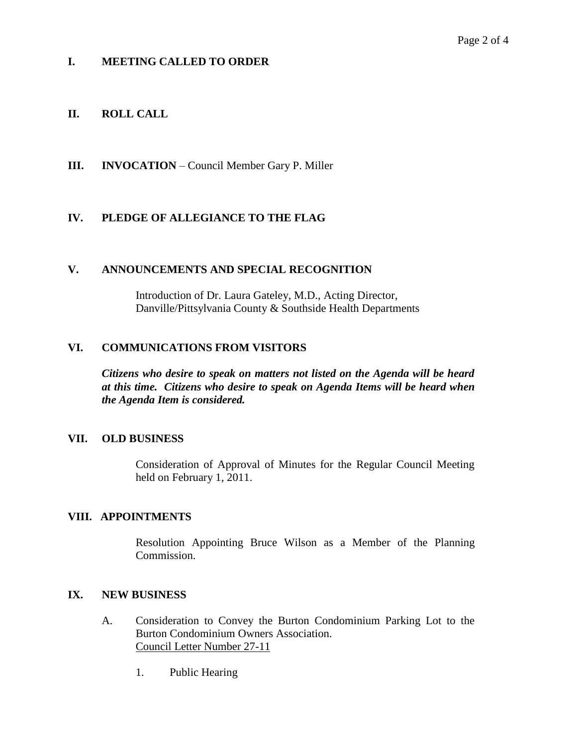### **I. MEETING CALLED TO ORDER**

### **II. ROLL CALL**

**III. INVOCATION** – Council Member Gary P. Miller

### **IV. PLEDGE OF ALLEGIANCE TO THE FLAG**

### **V. ANNOUNCEMENTS AND SPECIAL RECOGNITION**

Introduction of Dr. Laura Gateley, M.D., Acting Director, Danville/Pittsylvania County & Southside Health Departments

### **VI. COMMUNICATIONS FROM VISITORS**

*Citizens who desire to speak on matters not listed on the Agenda will be heard at this time. Citizens who desire to speak on Agenda Items will be heard when the Agenda Item is considered.*

### **VII. OLD BUSINESS**

Consideration of Approval of Minutes for the Regular Council Meeting held on February 1, 2011.

### **VIII. APPOINTMENTS**

Resolution Appointing Bruce Wilson as a Member of the Planning Commission.

### **IX. NEW BUSINESS**

- A. Consideration to Convey the Burton Condominium Parking Lot to the Burton Condominium Owners Association. Council Letter Number 27-11
	- 1. Public Hearing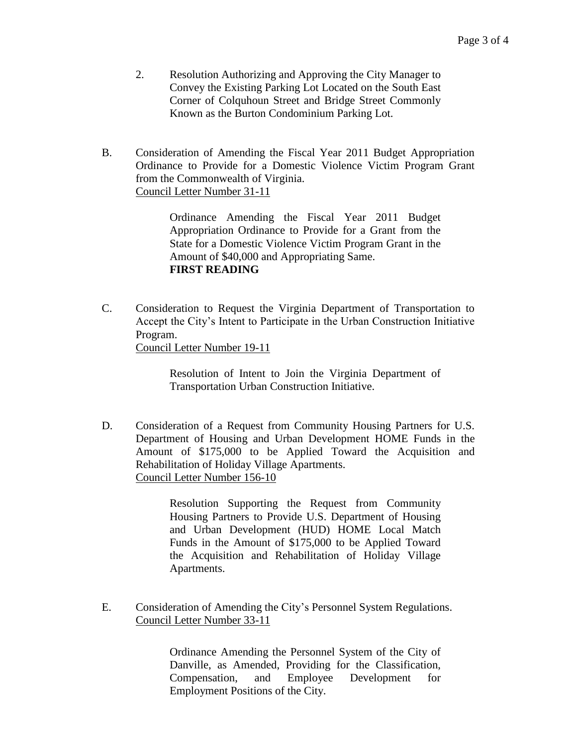- 2. Resolution Authorizing and Approving the City Manager to Convey the Existing Parking Lot Located on the South East Corner of Colquhoun Street and Bridge Street Commonly Known as the Burton Condominium Parking Lot.
- B. Consideration of Amending the Fiscal Year 2011 Budget Appropriation Ordinance to Provide for a Domestic Violence Victim Program Grant from the Commonwealth of Virginia. Council Letter Number 31-11

Ordinance Amending the Fiscal Year 2011 Budget Appropriation Ordinance to Provide for a Grant from the State for a Domestic Violence Victim Program Grant in the Amount of \$40,000 and Appropriating Same. **FIRST READING** 

C. Consideration to Request the Virginia Department of Transportation to Accept the City's Intent to Participate in the Urban Construction Initiative Program.

Council Letter Number 19-11

Resolution of Intent to Join the Virginia Department of Transportation Urban Construction Initiative.

D. Consideration of a Request from Community Housing Partners for U.S. Department of Housing and Urban Development HOME Funds in the Amount of \$175,000 to be Applied Toward the Acquisition and Rehabilitation of Holiday Village Apartments. Council Letter Number 156-10

> Resolution Supporting the Request from Community Housing Partners to Provide U.S. Department of Housing and Urban Development (HUD) HOME Local Match Funds in the Amount of \$175,000 to be Applied Toward the Acquisition and Rehabilitation of Holiday Village Apartments.

E. Consideration of Amending the City's Personnel System Regulations. Council Letter Number 33-11

> Ordinance Amending the Personnel System of the City of Danville, as Amended, Providing for the Classification, Compensation, and Employee Development for Employment Positions of the City.